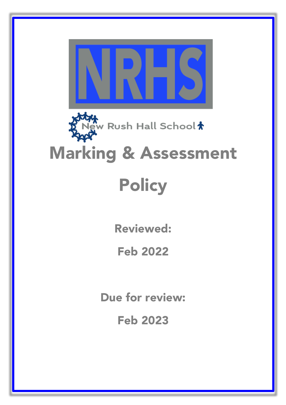

I

Reviewed:

Feb 2022

Due for review:

Feb 2023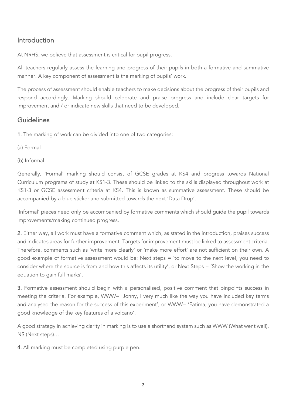## Introduction

At NRHS, we believe that assessment is critical for pupil progress.

All teachers regularly assess the learning and progress of their pupils in both a formative and summative manner. A key component of assessment is the marking of pupils' work.

The process of assessment should enable teachers to make decisions about the progress of their pupils and respond accordingly. Marking should celebrate and praise progress and include clear targets for improvement and / or indicate new skills that need to be developed.

## Guidelines

1. The marking of work can be divided into one of two categories:

- (a) Formal
- (b) Informal

Generally, 'Formal' marking should consist of GCSE grades at KS4 and progress towards National Curriculum programs of study at KS1-3. These should be linked to the skills displayed throughout work at KS1-3 or GCSE assessment criteria at KS4. This is known as summative assessment. These should be accompanied by a blue sticker and submitted towards the next 'Data Drop'.

'Informal' pieces need only be accompanied by formative comments which should guide the pupil towards improvements/making continued progress.

2. Either way, all work must have a formative comment which, as stated in the introduction, praises success and indicates areas for further improvement. Targets for improvement must be linked to assessment criteria. Therefore, comments such as 'write more clearly' or 'make more effort' are not sufficient on their own. A good example of formative assessment would be: Next steps = 'to move to the next level, you need to consider where the source is from and how this affects its utility', or Next Steps = 'Show the working in the equation to gain full marks'.

3. Formative assessment should begin with a personalised, positive comment that pinpoints success in meeting the criteria. For example, WWW= 'Jonny, I very much like the way you have included key terms and analysed the reason for the success of this experiment', or WWW= 'Fatima, you have demonstrated a good knowledge of the key features of a volcano'.

A good strategy in achieving clarity in marking is to use a shorthand system such as WWW (What went well), NS (Next steps)…

4. All marking must be completed using purple pen.